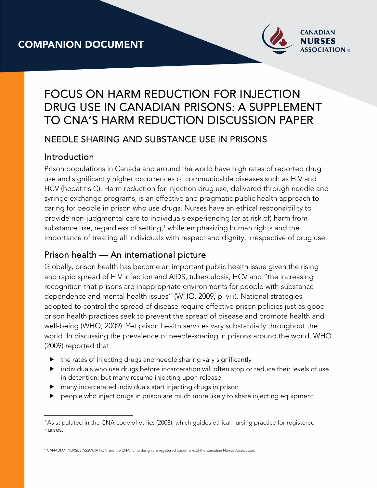

# FOCUS ON HARM REDUCTION FOR INJECTION DRUG USE IN CANADIAN PRISONS: A SUPPLEMENT TO CNA'S HARM REDUCTION DISCUSSION PAPER

## NEEDLE SHARING AND SUBSTANCE USE IN PRISONS

## **Introduction**

Prison populations in Canada and around the world have high rates of reported drug use and significantly higher occurrences of communicable diseases such as HIV and HCV (hepatitis C). Harm reduction for injection drug use, delivered through needle and syringe exchange programs, is an effective and pragmatic public health approach to caring for people in prison who use drugs. Nurses have an ethical responsibility to provide non-judgmental care to individuals experiencing (or at risk of) harm from substance use, regardless of setting, $^1$  while emphasizing human rights and the importance of treating all individuals with respect and dignity, irrespective of drug use.

## Prison health — An international picture

Globally, prison health has become an important public health issue given the rising and rapid spread of HIV infection and AIDS, tuberculosis, HCV and "the increasing recognition that prisons are inappropriate environments for people with substance dependence and mental health issues" (WHO, 2009, p. viii). National strategies adopted to control the spread of disease require effective prison policies just as good prison health practices seek to prevent the spread of disease and promote health and well-being (WHO, 2009). Yet prison health services vary substantially throughout the world. In discussing the prevalence of needle-sharing in prisons around the world, WHO (2009) reported that:

- $\blacktriangleright$  the rates of injecting drugs and needle sharing vary significantly
- individuals who use drugs before incarceration will often stop or reduce their levels of use in detention; but many resume injecting upon release
- many incarcerated individuals start injecting drugs in prison
- people who inject drugs in prison are much more likely to share injecting equipment.

 $\overline{a}$ 1 As stipulated in the CNA code of ethics (2008), which guides ethical nursing practice for registered nurses.

<sup>®</sup> CANADIAN NURSES ASSOCIATION and the CNA flame design are registered trademarks of the Canadian Nurses Association.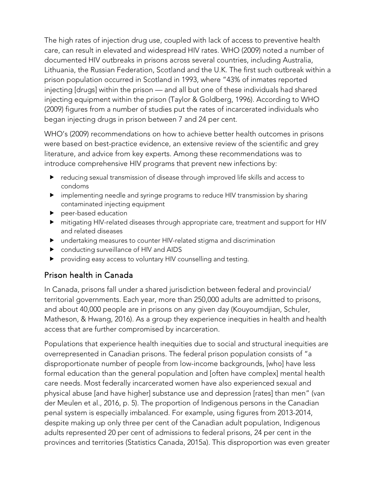The high rates of injection drug use, coupled with lack of access to preventive health care, can result in elevated and widespread HIV rates. WHO (2009) noted a number of documented HIV outbreaks in prisons across several countries, including Australia, Lithuania, the Russian Federation, Scotland and the U.K. The first such outbreak within a prison population occurred in Scotland in 1993, where "43% of inmates reported injecting [drugs] within the prison — and all but one of these individuals had shared injecting equipment within the prison (Taylor & Goldberg, 1996). According to WHO (2009) figures from a number of studies put the rates of incarcerated individuals who began injecting drugs in prison between 7 and 24 per cent.

WHO's (2009) recommendations on how to achieve better health outcomes in prisons were based on best-practice evidence, an extensive review of the scientific and grey literature, and advice from key experts. Among these recommendations was to introduce comprehensive HIV programs that prevent new infections by:

- reducing sexual transmission of disease through improved life skills and access to condoms
- implementing needle and syringe programs to reduce HIV transmission by sharing contaminated injecting equipment
- **P** peer-based education
- mitigating HIV-related diseases through appropriate care, treatment and support for HIV and related diseases
- undertaking measures to counter HIV-related stigma and discrimination
- conducting surveillance of HIV and AIDS
- providing easy access to voluntary HIV counselling and testing.

### Prison health in Canada

In Canada, prisons fall under a shared jurisdiction between federal and provincial/ territorial governments. Each year, more than 250,000 adults are admitted to prisons, and about 40,000 people are in prisons on any given day (Kouyoumdjian, Schuler, Matheson, & Hwang, 2016). As a group they experience inequities in health and health access that are further compromised by incarceration.

Populations that experience health inequities due to social and structural inequities are overrepresented in Canadian prisons. The federal prison population consists of "a disproportionate number of people from low-income backgrounds, [who] have less formal education than the general population and [often have complex] mental health care needs. Most federally incarcerated women have also experienced sexual and physical abuse [and have higher] substance use and depression [rates] than men" (van der Meulen et al., 2016, p. 5). The proportion of Indigenous persons in the Canadian penal system is especially imbalanced. For example, using figures from 2013-2014, despite making up only three per cent of the Canadian adult population, Indigenous adults represented 20 per cent of admissions to federal prisons, 24 per cent in the provinces and territories (Statistics Canada, 2015a). This disproportion was even greater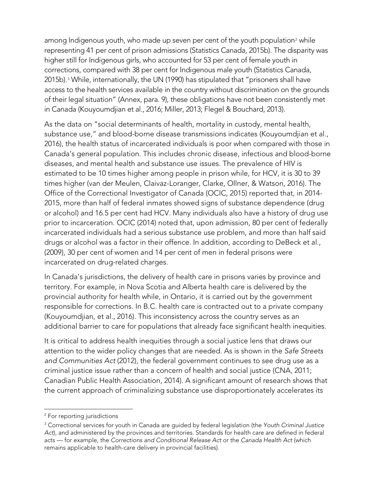among Indigenous youth, who made up seven per cent of the youth population<sup>2</sup> while representing 41 per cent of prison admissions (Statistics Canada, 2015b). The disparity was higher still for Indigenous girls, who accounted for 53 per cent of female youth in corrections, compared with 38 per cent for Indigenous male youth (Statistics Canada, 2015b).<sup>3</sup> While, internationally, the UN (1990) has stipulated that "prisoners shall have access to the health services available in the country without discrimination on the grounds of their legal situation" (Annex, para. 9), these obligations have not been consistently met in Canada (Kouyoumdjian et al., 2016; Miller, 2013; Flegel & Bouchard, 2013).

As the data on "social determinants of health, mortality in custody, mental health, substance use," and blood-borne disease transmissions indicates (Kouyoumdjian et al., 2016), the health status of incarcerated individuals is poor when compared with those in Canada's general population. This includes chronic disease, infectious and blood-borne diseases, and mental health and substance use issues. The prevalence of HIV is estimated to be 10 times higher among people in prison while, for HCV, it is 30 to 39 times higher (van der Meulen, Claivaz-Loranger, Clarke, Ollner, & Watson, 2016). The Office of the Correctional Investigator of Canada (OCIC, 2015) reported that, in 2014- 2015, more than half of federal inmates showed signs of substance dependence (drug or alcohol) and 16.5 per cent had HCV. Many individuals also have a history of drug use prior to incarceration. OCIC (2014) noted that, upon admission, 80 per cent of federally incarcerated individuals had a serious substance use problem, and more than half said drugs or alcohol was a factor in their offence. In addition, according to DeBeck et al., (2009), 30 per cent of women and 14 per cent of men in federal prisons were incarcerated on drug-related charges.

In Canada's jurisdictions, the delivery of health care in prisons varies by province and territory. For example, in Nova Scotia and Alberta health care is delivered by the provincial authority for health while, in Ontario, it is carried out by the government responsible for corrections. In B.C. health care is contracted out to a private company (Kouyoumdjian, et al., 2016). This inconsistency across the country serves as an additional barrier to care for populations that already face significant health inequities.

It is critical to address health inequities through a social justice lens that draws our attention to the wider policy changes that are needed. As is shown in the *Safe Streets and Communities Act* (2012), the federal government continues to see drug use as a criminal justice issue rather than a concern of health and social justice (CNA, 2011; Canadian Public Health Association, 2014). A significant amount of research shows that the current approach of criminalizing substance use disproportionately accelerates its

<sup>&</sup>lt;sup>2</sup> For reporting jurisdictions

<sup>3</sup> Correctional services for youth in Canada are guided by federal legislation (the *Youth Criminal Justice Act*)*,* and administered by the provinces and territories. Standards for health care are defined in federal acts — for example, the *Corrections and Conditional Release Act* or the *Canada Health Act* (which remains applicable to health-care delivery in provincial facilities).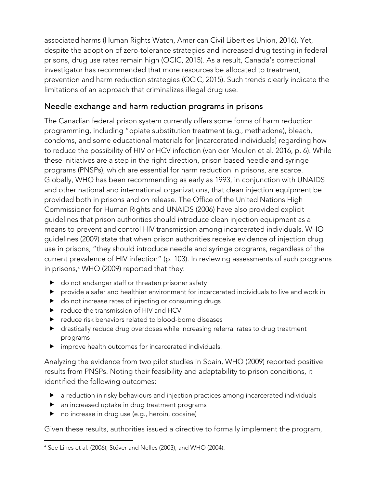associated harms (Human Rights Watch, American Civil Liberties Union, 2016). Yet, despite the adoption of zero-tolerance strategies and increased drug testing in federal prisons, drug use rates remain high (OCIC, 2015). As a result, Canada's correctional investigator has recommended that more resources be allocated to treatment, prevention and harm reduction strategies (OCIC, 2015). Such trends clearly indicate the limitations of an approach that criminalizes illegal drug use.

## Needle exchange and harm reduction programs in prisons

The Canadian federal prison system currently offers some forms of harm reduction programming, including "opiate substitution treatment (e.g., methadone), bleach, condoms, and some educational materials for [incarcerated individuals] regarding how to reduce the possibility of HIV or HCV infection (van der Meulen et al. 2016, p. 6). While these initiatives are a step in the right direction, prison-based needle and syringe programs (PNSPs), which are essential for harm reduction in prisons, are scarce. Globally, WHO has been recommending as early as 1993, in conjunction with UNAIDS and other national and international organizations, that clean injection equipment be provided both in prisons and on release. The Office of the United Nations High Commissioner for Human Rights and UNAIDS (2006) have also provided explicit guidelines that prison authorities should introduce clean injection equipment as a means to prevent and control HIV transmission among incarcerated individuals. WHO guidelines (2009) state that when prison authorities receive evidence of injection drug use in prisons, "they should introduce needle and syringe programs, regardless of the current prevalence of HIV infection" (p. 103). In reviewing assessments of such programs in prisons, <sup>4</sup> WHO (2009) reported that they:

- ▶ do not endanger staff or threaten prisoner safety
- provide a safer and healthier environment for incarcerated individuals to live and work in
- $\blacktriangleright$  do not increase rates of injecting or consuming drugs
- reduce the transmission of HIV and HCV
- ▶ reduce risk behaviors related to blood-borne diseases
- drastically reduce drug overdoses while increasing referral rates to drug treatment programs
- improve health outcomes for incarcerated individuals.

Analyzing the evidence from two pilot studies in Spain, WHO (2009) reported positive results from PNSPs. Noting their feasibility and adaptability to prison conditions, it identified the following outcomes:

- a reduction in risky behaviours and injection practices among incarcerated individuals
- an increased uptake in drug treatment programs
- ▶ no increase in drug use (e.g., heroin, cocaine)

Given these results, authorities issued a directive to formally implement the program,

 <sup>4</sup> See Lines et al. (2006), Stöver and Nelles (2003), and WHO (2004).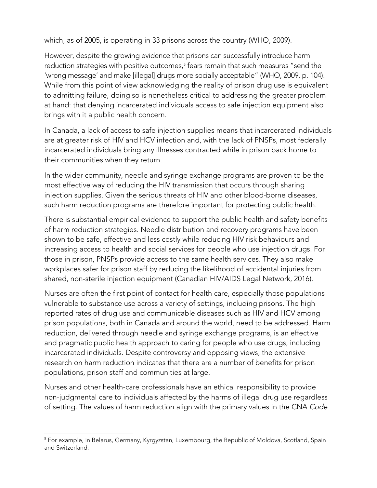which, as of 2005, is operating in 33 prisons across the country (WHO, 2009).

However, despite the growing evidence that prisons can successfully introduce harm reduction strategies with positive outcomes, <sup>5</sup> fears remain that such measures "send the 'wrong message' and make [illegal] drugs more socially acceptable" (WHO, 2009, p. 104). While from this point of view acknowledging the reality of prison drug use is equivalent to admitting failure, doing so is nonetheless critical to addressing the greater problem at hand: that denying incarcerated individuals access to safe injection equipment also brings with it a public health concern.

In Canada, a lack of access to safe injection supplies means that incarcerated individuals are at greater risk of HIV and HCV infection and, with the lack of PNSPs, most federally incarcerated individuals bring any illnesses contracted while in prison back home to their communities when they return.

In the wider community, needle and syringe exchange programs are proven to be the most effective way of reducing the HIV transmission that occurs through sharing injection supplies. Given the serious threats of HIV and other blood-borne diseases, such harm reduction programs are therefore important for protecting public health.

There is substantial empirical evidence to support the public health and safety benefits of harm reduction strategies. Needle distribution and recovery programs have been shown to be safe, effective and less costly while reducing HIV risk behaviours and increasing access to health and social services for people who use injection drugs. For those in prison, PNSPs provide access to the same health services. They also make workplaces safer for prison staff by reducing the likelihood of accidental injuries from shared, non-sterile injection equipment (Canadian HIV/AIDS Legal Network, 2016).

Nurses are often the first point of contact for health care, especially those populations vulnerable to substance use across a variety of settings, including prisons. The high reported rates of drug use and communicable diseases such as HIV and HCV among prison populations, both in Canada and around the world, need to be addressed. Harm reduction, delivered through needle and syringe exchange programs, is an effective and pragmatic public health approach to caring for people who use drugs, including incarcerated individuals. Despite controversy and opposing views, the extensive research on harm reduction indicates that there are a number of benefits for prison populations, prison staff and communities at large.

Nurses and other health-care professionals have an ethical responsibility to provide non-judgmental care to individuals affected by the harms of illegal drug use regardless of setting. The values of harm reduction align with the primary values in the CNA *Code* 

 <sup>5</sup> For example, in Belarus, Germany, Kyrgyzstan, Luxembourg, the Republic of Moldova, Scotland, Spain and Switzerland.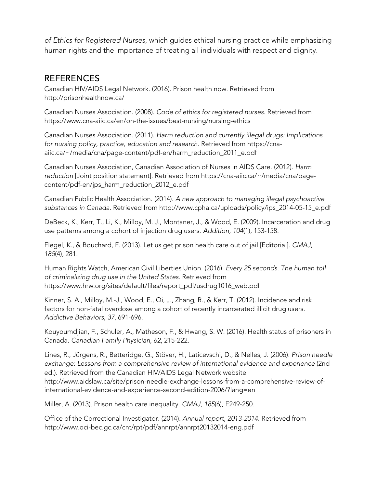*of Ethics for Registered Nurses*, which guides ethical nursing practice while emphasizing human rights and the importance of treating all individuals with respect and dignity.

#### **REFERENCES**

Canadian HIV/AIDS Legal Network. (2016). Prison health now. Retrieved from http://prisonhealthnow.ca/

Canadian Nurses Association. (2008). *Code of ethics for registered nurses.* Retrieved from https://www.cna-aiic.ca/en/on-the-issues/best-nursing/nursing-ethics

Canadian Nurses Association. (2011). *Harm reduction and currently illegal drugs: Implications for nursing policy, practice, education and research.* Retrieved from https://cnaaiic.ca/~/media/cna/page-content/pdf-en/harm\_reduction\_2011\_e.pdf

Canadian Nurses Association, Canadian Association of Nurses in AIDS Care. (2012). *Harm reduction* [Joint position statement]. Retrieved from https://cna-aiic.ca/~/media/cna/pagecontent/pdf-en/jps\_harm\_reduction\_2012\_e.pdf

Canadian Public Health Association. (2014). *A new approach to managing illegal psychoactive substances in Canada.* Retrieved from http://www.cpha.ca/uploads/policy/ips\_2014-05-15\_e.pdf

DeBeck, K., Kerr, T., Li, K., Milloy, M. J., Montaner, J., & Wood, E. (2009). Incarceration and drug use patterns among a cohort of injection drug users. *Addition, 104*(1), 153-158.

Flegel, K., & Bouchard, F. (2013). Let us get prison health care out of jail [Editorial]. *CMAJ, 185*(4), 281.

Human Rights Watch, American Civil Liberties Union. (2016). *Every 25 seconds. The human toll of criminalizing drug use in the United States*. Retrieved from https://www.hrw.org/sites/default/files/report\_pdf/usdrug1016\_web.pdf

Kinner, S. A., Milloy, M.-J., Wood, E., Qi, J., Zhang, R., & Kerr, T. (2012). Incidence and risk factors for non-fatal overdose among a cohort of recently incarcerated illicit drug users. *Addictive Behaviors, 37*, 691-696.

Kouyoumdjian, F., Schuler, A., Matheson, F., & Hwang, S. W. (2016). Health status of prisoners in Canada. *Canadian Family Physician, 62*, 215-222.

Lines, R., Jürgens, R., Betteridge, G., Stöver, H., Laticevschi, D., & Nelles, J. (2006). *Prison needle exchange: Lessons from a comprehensive review of international evidence and experience* (2nd ed.)*.* Retrieved from the Canadian HIV/AIDS Legal Network website: http://www.aidslaw.ca/site/prison-needle-exchange-lessons-from-a-comprehensive-review-ofinternational-evidence-and-experience-second-edition-2006/?lang=en

Miller, A. (2013). Prison health care inequality. *CMAJ, 185*(6), E249-250.

Office of the Correctional Investigator. (2014). *Annual report, 2013-2014*. Retrieved from http://www.oci-bec.gc.ca/cnt/rpt/pdf/annrpt/annrpt20132014-eng.pdf